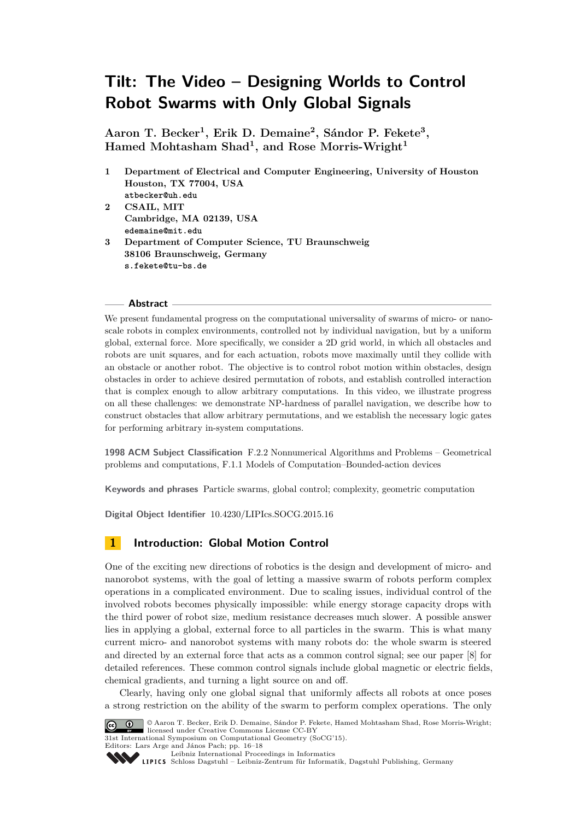# **Tilt: The Video – Designing Worlds to Control Robot Swarms with Only Global Signals**

**Aaron T. Becker<sup>1</sup> , Erik D. Demaine<sup>2</sup> , Sándor P. Fekete<sup>3</sup> , Hamed Mohtasham Shad<sup>1</sup> , and Rose Morris-Wright<sup>1</sup>**

**1 Department of Electrical and Computer Engineering, University of Houston Houston, TX 77004, USA atbecker@uh.edu 2 CSAIL, MIT Cambridge, MA 02139, USA edemaine@mit.edu 3 Department of Computer Science, TU Braunschweig 38106 Braunschweig, Germany s.fekete@tu-bs.de**

### **Abstract**

We present fundamental progress on the computational universality of swarms of micro- or nanoscale robots in complex environments, controlled not by individual navigation, but by a uniform global, external force. More specifically, we consider a 2D grid world, in which all obstacles and robots are unit squares, and for each actuation, robots move maximally until they collide with an obstacle or another robot. The objective is to control robot motion within obstacles, design obstacles in order to achieve desired permutation of robots, and establish controlled interaction that is complex enough to allow arbitrary computations. In this video, we illustrate progress on all these challenges: we demonstrate NP-hardness of parallel navigation, we describe how to construct obstacles that allow arbitrary permutations, and we establish the necessary logic gates for performing arbitrary in-system computations.

**1998 ACM Subject Classification** F.2.2 Nonnumerical Algorithms and Problems – Geometrical problems and computations, F.1.1 Models of Computation–Bounded-action devices

**Keywords and phrases** Particle swarms, global control; complexity, geometric computation

**Digital Object Identifier** [10.4230/LIPIcs.SOCG.2015.16](http://dx.doi.org/10.4230/LIPIcs.SOCG.2015.16)

## **1 Introduction: Global Motion Control**

One of the exciting new directions of robotics is the design and development of micro- and nanorobot systems, with the goal of letting a massive swarm of robots perform complex operations in a complicated environment. Due to scaling issues, individual control of the involved robots becomes physically impossible: while energy storage capacity drops with the third power of robot size, medium resistance decreases much slower. A possible answer lies in applying a global, external force to all particles in the swarm. This is what many current micro- and nanorobot systems with many robots do: the whole swarm is steered and directed by an external force that acts as a common control signal; see our paper [\[8\]](#page-2-0) for detailed references. These common control signals include global magnetic or electric fields, chemical gradients, and turning a light source on and off.

Clearly, having only one global signal that uniformly affects all robots at once poses a strong restriction on the ability of the swarm to perform complex operations. The only



31st International Symposium on Computational Geometry (SoCG'15). Editors: Lars Arge and János Pach; pp. 16[–18](#page-2-1)

[Leibniz International Proceedings in Informatics](http://www.dagstuhl.de/lipics/)

Leibniz international Froceedings in informatik, Dagstuhl Publishing, Germany<br>LIPICS [Schloss Dagstuhl – Leibniz-Zentrum für Informatik, Dagstuhl Publishing, Germany](http://www.dagstuhl.de)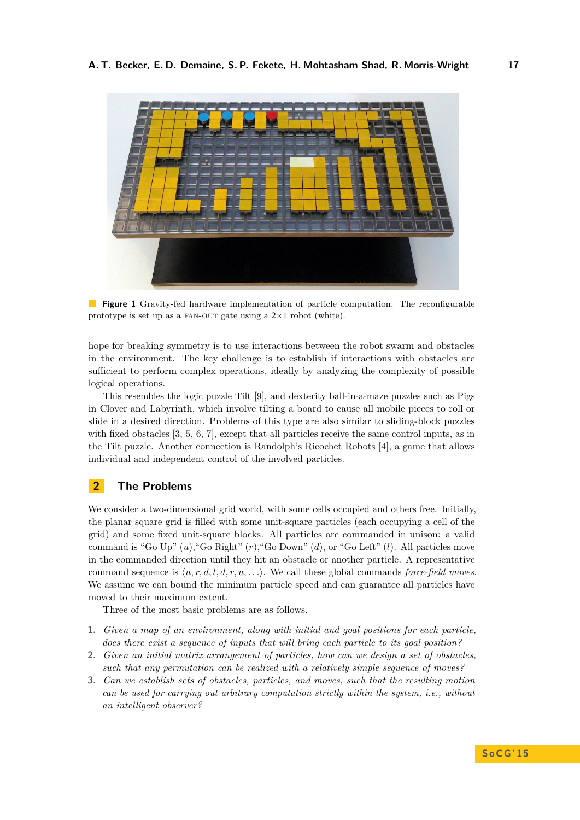

**Figure 1** Gravity-fed hardware implementation of particle computation. The reconfigurable prototype is set up as a FAN-OUT gate using a  $2\times1$  robot (white).

hope for breaking symmetry is to use interactions between the robot swarm and obstacles in the environment. The key challenge is to establish if interactions with obstacles are sufficient to perform complex operations, ideally by analyzing the complexity of possible logical operations.

This resembles the logic puzzle Tilt [\[9\]](#page-2-2), and dexterity ball-in-a-maze puzzles such as Pigs in Clover and Labyrinth, which involve tilting a board to cause all mobile pieces to roll or slide in a desired direction. Problems of this type are also similar to sliding-block puzzles with fixed obstacles [\[3,](#page-2-3) [5,](#page-2-4) [6,](#page-2-5) [7\]](#page-2-6), except that all particles receive the same control inputs, as in the Tilt puzzle. Another connection is Randolph's Ricochet Robots [\[4\]](#page-2-7), a game that allows individual and independent control of the involved particles.

# **2 The Problems**

We consider a two-dimensional grid world, with some cells occupied and others free. Initially, the planar square grid is filled with some unit-square particles (each occupying a cell of the grid) and some fixed unit-square blocks. All particles are commanded in unison: a valid command is "Go Up" (*u*),"Go Right" (*r*),"Go Down" (*d*), or "Go Left" (*l*). All particles move in the commanded direction until they hit an obstacle or another particle. A representative command sequence is  $\langle u, r, d, l, d, r, u, \ldots \rangle$ . We call these global commands *force-field moves*. We assume we can bound the minimum particle speed and can guarantee all particles have moved to their maximum extent.

Three of the most basic problems are as follows.

- **1.** *Given a map of an environment, along with initial and goal positions for each particle, does there exist a sequence of inputs that will bring each particle to its goal position?*
- **2.** *Given an initial matrix arrangement of particles, how can we design a set of obstacles, such that any permutation can be realized with a relatively simple sequence of moves?*
- **3.** *Can we establish sets of obstacles, particles, and moves, such that the resulting motion can be used for carrying out arbitrary computation strictly within the system, i.e., without an intelligent observer?*